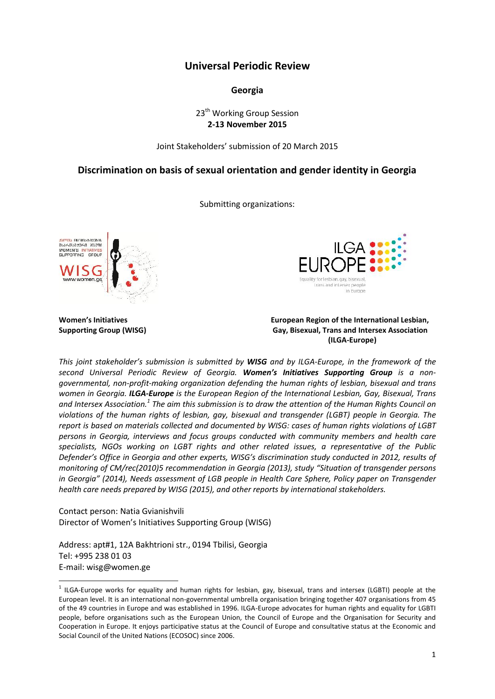# **Universal Periodic Review**

### **Georgia**

# 23<sup>th</sup> Working Group Session **2-13 November 2015**

Joint Stakeholders' submission of 20 March 2015

# **Discrimination on basis of sexual orientation and gender identity in Georgia**

Submitting organizations:





#### **Women's Initiatives European Region of the International Lesbian, Supporting Group (WISG) Gay, Bisexual, Trans and Intersex Association (ILGA-Europe)**

*This joint stakeholder's submission is submitted by WISG and by ILGA-Europe, in the framework of the second Universal Periodic Review of Georgia. Women's Initiatives Supporting Group is a non governmental, non-profit-making organization defending the human rights of lesbian, bisexual and trans women in Georgia. ILGA-Europe is the European Region of the International Lesbian, Gay, Bisexual, Trans and Intersex Association.<sup>1</sup> The aim this submission is to draw the attention of the Human Rights Council on violations of the human rights of lesbian, gay, bisexual and transgender (LGBT) people in Georgia. The report is based on materials collected and documented by WISG: cases of human rights violations of LGBT persons in Georgia, interviews and focus groups conducted with community members and health care specialists, NGOs working on LGBT rights and other related issues, a representative of the Public Defender's Office in Georgia and other experts, WISG's discrimination study conducted in 2012, results of monitoring of CM/rec(2010)5 recommendation in Georgia (2013), study "Situation of transgender persons in Georgia" (2014), Needs assessment of LGB people in Health Care Sphere, Policy paper on Transgender health care needs prepared by WISG (2015), and other reports by international stakeholders.*

Contact person: Natia Gvianishvili Director of Women's Initiatives Supporting Group (WISG)

Address: apt#1, 12A Bakhtrioni str., 0194 Tbilisi, Georgia Tel: +995 238 01 03 E-mail: wisg@women.ge

 $^1$  ILGA-Europe works for equality and human rights for lesbian, gay, bisexual, trans and intersex (LGBTI) people at the European level. It is an international non-governmental umbrella organisation bringing together 407 organisations from 45 of the 49 countries in Europe and was established in 1996. ILGA-Europe advocates for human rights and equality for LGBTI people, before organisations such as the European Union, the Council of Europe and the Organisation for Security and Cooperation in Europe. It enjoys participative status at the Council of Europe and consultative status at the Economic and Social Council of the United Nations (ECOSOC) since 2006.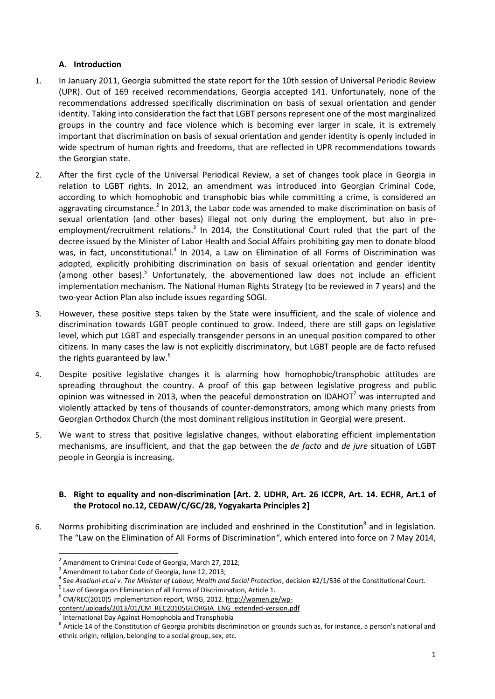# **A. Introduction**

- 1. In January 2011, Georgia submitted the state report for the 10th session of Universal Periodic Review (UPR). Out of 169 received recommendations, Georgia accepted 141. Unfortunately, none of the recommendations addressed specifically discrimination on basis of sexual orientation and gender identity. Taking into consideration the fact that LGBT persons represent one of the most marginalized groups in the country and face violence which is becoming ever larger in scale, it is extremely important that discrimination on basis of sexual orientation and gender identity is openly included in wide spectrum of human rights and freedoms, that are reflected in UPR recommendations towards the Georgian state.
- 2. After the first cycle of the Universal Periodical Review, a set of changes took place in Georgia in relation to LGBT rights. In 2012, an amendment was introduced into Georgian Criminal Code, according to which homophobic and transphobic bias while committing a crime, is considered an aggravating circumstance.<sup>2</sup> In 2013, the Labor code was amended to make discrimination on basis of sexual orientation (and other bases) illegal not only during the employment, but also in pre employment/recruitment relations.<sup>3</sup> In 2014, the Constitutional Court ruled that the part of the decree issued by the Minister of Labor Health and Social Affairs prohibiting gay men to donate blood was, in fact, unconstitutional.<sup>4</sup> In 2014, a Law on Elimination of all Forms of Discrimination was adopted, explicitly prohibiting discrimination on basis of sexual orientation and gender identity (among other bases).<sup>5</sup> Unfortunately, the abovementioned law does not include an efficient implementation mechanism. The National Human Rights Strategy (to be reviewed in 7 years) and the two-year Action Plan also include issues regarding SOGI.
- 3. However, these positive steps taken by the State were insufficient, and the scale of violence and discrimination towards LGBT people continued to grow. Indeed, there are still gaps on legislative level, which put LGBT and especially transgender persons in an unequal position compared to other citizens. In many cases the law is not explicitly discriminatory, but LGBT people are de facto refused the rights guaranteed by law. $6$
- 4. Despite positive legislative changes it is alarming how homophobic/transphobic attitudes are spreading throughout the country. A proof of this gap between legislative progress and public opinion was witnessed in 2013, when the peaceful demonstration on IDAHOT<sup>7</sup> was interrupted and violently attacked by tens of thousands of counter-demonstrators, among which many priests from Georgian Orthodox Church (the most dominant religious institution in Georgia) were present.
- 5. We want to stress that positive legislative changes, without elaborating efficient implementation mechanisms, are insufficient, and that the gap between the *de facto* and *de jure* situation of LGBT people in Georgia is increasing.

# **B. Right to equality and non-discrimination [Art. 2. UDHR, Art. 26 ICCPR, Art. 14. ECHR, Art.1 of the Protocol no.12, CEDAW/C/GC/28, Yogyakarta Principles 2]**

6. Norms prohibiting discrimination are included and enshrined in the Constitution<sup>8</sup> and in legislation. The "Law on the Elimination of All Forms of Discrimination", which entered into force on 7 May 2014,

<sup>&</sup>lt;sup>2</sup> Amendment to Criminal Code of Georgia, March 27, 2012;<br>
<sup>3</sup> Amendment to Labor Code of Georgia, June 12, 2013;<br>
<sup>4</sup> See Asatiani et.al v. The Minister of Labour, Health and Social Protection, decision #2/1/536 of the

content/uploads/2013/01/CM\_REC20105GEORGIA\_ENG\_extended-version.pdf

 $<sup>7</sup>$  International Day Against Homophobia and Transphobia</sup>

<sup>&</sup>lt;sup>8</sup> Article 14 of the Constitution of Georgia prohibits discrimination on grounds such as, for instance, a person's national and ethnic origin, religion, belonging to a social group, sex, etc.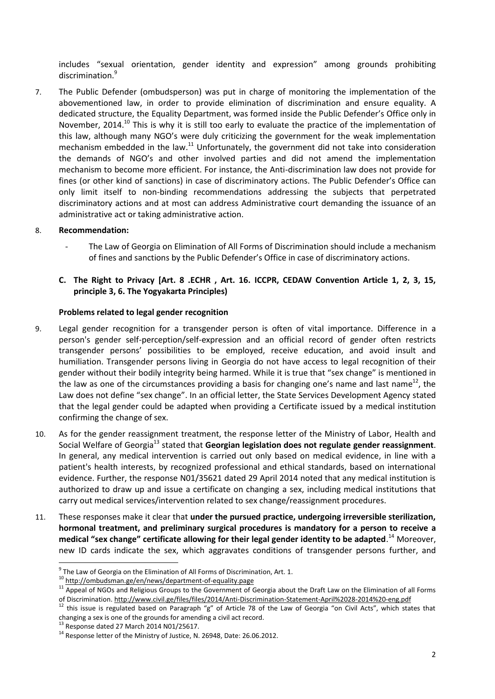includes "sexual orientation, gender identity and expression" among grounds prohibiting discrimination.<sup>9</sup>

7. The Public Defender (ombudsperson) was put in charge of monitoring the implementation of the abovementioned law, in order to provide elimination of discrimination and ensure equality. A dedicated structure, the Equality Department, was formed inside the Public Defender's Office only in November, 2014.<sup>10</sup> This is why it is still too early to evaluate the practice of the implementation of this law, although many NGO's were duly criticizing the government for the weak implementation mechanism embedded in the law.<sup>11</sup> Unfortunately, the government did not take into consideration the demands of NGO's and other involved parties and did not amend the implementation mechanism to become more efficient. For instance, the Anti-discrimination law does not provide for fines (or other kind of sanctions) in case of discriminatory actions. The Public Defender's Office can only limit itself to non-binding recommendations addressing the subjects that perpetrated discriminatory actions and at most can address Administrative court demanding the issuance of an administrative act or taking administrative action.

### 8. **Recommendation:**

- The Law of Georgia on Elimination of All Forms of Discrimination should include a mechanism of fines and sanctions by the Public Defender's Office in case of discriminatory actions.
- **C. The Right to Privacy [Art. 8 .ECHR , Art. 16. ICCPR, CEDAW Convention Article 1, 2, 3, 15, principle 3, 6. The Yogyakarta Principles)**

#### **Problems related to legal gender recognition**

- 9. Legal gender recognition for a transgender person is often of vital importance. Difference in a person's gender self-perception/self-expression and an official record of gender often restricts transgender persons' possibilities to be employed, receive education, and avoid insult and humiliation. Transgender persons living in Georgia do not have access to legal recognition of their gender without their bodily integrity being harmed. While it is true that "sex change" is mentioned in the law as one of the circumstances providing a basis for changing one's name and last name<sup>12</sup>, the Law does not define "sex change". In an official letter, the State Services Development Agency stated that the legal gender could be adapted when providing a Certificate issued by a medical institution confirming the change of sex.
- 10. As for the gender reassignment treatment, the response letter of the Ministry of Labor, Health and Social Welfare of Georgia<sup>13</sup> stated that **Georgian legislation does not regulate gender reassignment**. In general, any medical intervention is carried out only based on medical evidence, in line with a patient's health interests, by recognized professional and ethical standards, based on international evidence. Further, the response N01/35621 dated 29 April 2014 noted that any medical institution is authorized to draw up and issue a certificate on changing a sex, including medical institutions that carry out medical services/intervention related to sex change/reassignment procedures.
- 11. These responses make it clear that **under the pursued practice, undergoing irreversible sterilization, hormonal treatment, and preliminary surgical procedures is mandatory for a person to receive a medical "sex change" certificate allowing for their legal gender identity to be adapted**.<sup>14</sup> Moreover, new ID cards indicate the sex, which aggravates conditions of transgender persons further, and

<sup>&</sup>lt;sup>9</sup> The Law of Georgia on the Elimination of All Forms of Discrimination, Art. 1. 10 http://ombudsman.ge/en/news/department-of-equality.page

<sup>11</sup> Appeal of NGOs and Religious Groups to the Government of Georgia about the Draft Law on the Elimination of all Forms<br>of Discrimination. http://www.civil.ge/files/files/2014/Anti-Discrimination-Statement-April%2028-2014%

<sup>&</sup>lt;sup>12</sup> this issue is regulated based on Paragraph "g" of Article 78 of the Law of Georgia "on Civil Acts", which states that changing a sex is one of the grounds for amending a civil act record.<br><sup>13</sup> Response dated 27 March 2014 N01/25617.<br><sup>14</sup> Response letter of the Ministry of Justice, N. 26948, Date: 26.06.2012.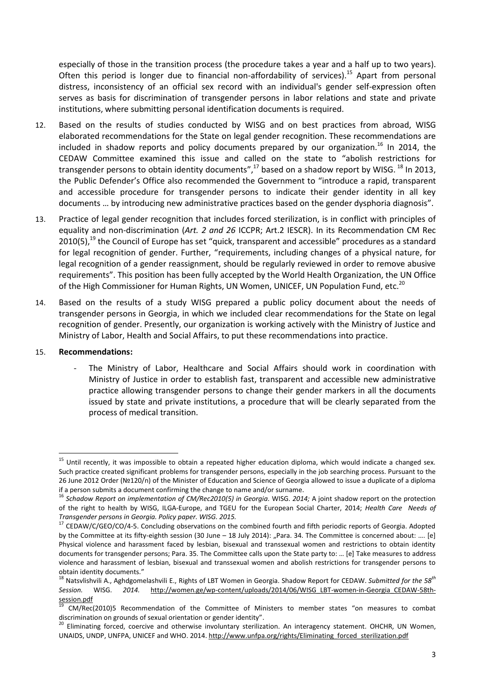especially of those in the transition process (the procedure takes a year and a half up to two years). Often this period is longer due to financial non-affordability of services).<sup>15</sup> Apart from personal distress, inconsistency of an official sex record with an individual's gender self-expression often serves as basis for discrimination of transgender persons in labor relations and state and private institutions, where submitting personal identification documents is required.

- 12. Based on the results of studies conducted by WISG and on best practices from abroad, WISG elaborated recommendations for the State on legal gender recognition. These recommendations are included in shadow reports and policy documents prepared by our organization.<sup>16</sup> In 2014, the CEDAW Committee examined this issue and called on the state to "abolish restrictions for transgender persons to obtain identity documents", $^{17}$  based on a shadow report by WISG.  $^{18}$  In 2013, the Public Defender's Office also recommended the Government to "introduce a rapid, transparent and accessible procedure for transgender persons to indicate their gender identity in all key documents … by introducing new administrative practices based on the gender dysphoria diagnosis".
- 13. Practice of legal gender recognition that includes forced sterilization, is in conflict with principles of equality and non-discrimination (*Art. 2 and 26* ICCPR; Art.2 IESCR). In its Recommendation CM Rec  $2010(5)$ ,<sup>19</sup> the Council of Europe has set "quick, transparent and accessible" procedures as a standard for legal recognition of gender. Further, "requirements, including changes of a physical nature, for legal recognition of a gender reassignment, should be regularly reviewed in order to remove abusive requirements". This position has been fully accepted by the World Health Organization, the UN Office of the High Commissioner for Human Rights, UN Women, UNICEF, UN Population Fund, etc.<sup>20</sup>
- 14. Based on the results of a study WISG prepared a public policy document about the needs of transgender persons in Georgia, in which we included clear recommendations for the State on legal recognition of gender. Presently, our organization is working actively with the Ministry of Justice and Ministry of Labor, Health and Social Affairs, to put these recommendations into practice.

#### 15. **Recommendations:**

The Ministry of Labor, Healthcare and Social Affairs should work in coordination with Ministry of Justice in order to establish fast, transparent and accessible new administrative practice allowing transgender persons to change their gender markers in all the documents issued by state and private institutions, a procedure that will be clearly separated from the process of medical transition.

 $15$  Until recently, it was impossible to obtain a repeated higher education diploma, which would indicate a changed sex. Such practice created significant problems for transgender persons, especially in the job searching process. Pursuant to the 26 June 2012 Order (№120/n) of the Minister of Education and Science of Georgia allowed to issue a duplicate of a diploma

if a person submits a document confirming the change to name and/or surname.<br><sup>16</sup> Schadow Report on implementation of CM/Rec2010(5) in Georgia. WISG. 2014; A joint shadow report on the protection of the right to health by WISG, ILGA-Europe, and TGEU for the European Social Charter, 2014; *Health Care Needs of Transgender persons in Georgia. Policy paper. WISG. 2015.*

<sup>&</sup>lt;sup>17</sup> CEDAW/C/GEO/CO/4-5. Concluding observations on the combined fourth and fifth periodic reports of Georgia. Adopted by the Committee at its fifty-eighth session (30 June – 18 July 2014): "Para. 34. The Committee is concerned about: .... [e] Physical violence and harassment faced by lesbian, bisexual and transsexual women and restrictions to obtain identity documents for transgender persons; Para. 35. The Committee calls upon the State party to: … [e] Take measures to address violence and harassment of lesbian, bisexual and transsexual women and abolish restrictions for transgender persons to obtain identity documents."

<sup>18</sup> Natsvlishvili A., Aghdgomelashvili E., Rights of LBT Women in Georgia. Shadow Report for CEDAW. *Submitted for the 58th Session.* WISG. *2014.* http://women.ge/wp-content/uploads/2014/06/WISG\_LBT-women-in-Georgia\_CEDAW-58th-<br>session.pdf<br><sup>19</sup> 2014.

CM/Rec(2010)5 Recommendation of the Committee of Ministers to member states "on measures to combat discrimination on grounds of sexual orientation or gender identity".<br><sup>20</sup> Eliminating forced, coercive and otherwise involuntary sterilization. An interagency statement. OHCHR, UN Women,

UNAIDS, UNDP, UNFPA, UNICEF and WHO. 2014. http://www.unfpa.org/rights/Eliminating\_forced\_sterilization.pdf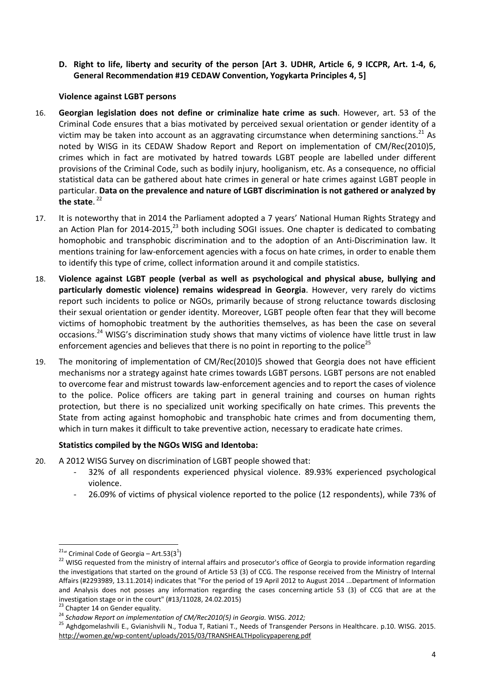**D. Right to life, liberty and security of the person [Art 3. UDHR, Article 6, 9 ICCPR, Art. 1-4, 6, General Recommendation #19 CEDAW Convention, Yogykarta Principles 4, 5]**

### **Violence against LGBT persons**

- 16. **Georgian legislation does not define or criminalize hate crime as such**. However, art. 53 of the Criminal Code ensures that a bias motivated by perceived sexual orientation or gender identity of a victim may be taken into account as an aggravating circumstance when determining sanctions.<sup>21</sup> As noted by WISG in its CEDAW Shadow Report and Report on implementation of CM/Rec(2010)5, crimes which in fact are motivated by hatred towards LGBT people are labelled under different provisions of the Criminal Code, such as bodily injury, hooliganism, etc. As a consequence, no official statistical data can be gathered about hate crimes in general or hate crimes against LGBT people in particular. **Data on the prevalence and nature of LGBT discrimination is not gathered or analyzed by** the state.<sup>22</sup>
- 17. It is noteworthy that in 2014 the Parliament adopted a 7 years' National Human Rights Strategy and an Action Plan for 2014-2015, $^{23}$  both including SOGI issues. One chapter is dedicated to combating homophobic and transphobic discrimination and to the adoption of an Anti-Discrimination law. It mentions training for law-enforcement agencies with a focus on hate crimes, in order to enable them to identify this type of crime, collect information around it and compile statistics.
- 18. **Violence against LGBT people (verbal as well as psychological and physical abuse, bullying and particularly domestic violence) remains widespread in Georgia**. However, very rarely do victims report such incidents to police or NGOs, primarily because of strong reluctance towards disclosing their sexual orientation or gender identity. Moreover, LGBT people often fear that they will become victims of homophobic treatment by the authorities themselves, as has been the case on several occasions.<sup>24</sup> WISG's discrimination study shows that many victims of violence have little trust in law enforcement agencies and believes that there is no point in reporting to the police<sup>25</sup>
- 19. The monitoring of implementation of CM/Rec(2010)5 showed that Georgia does not have efficient mechanisms nor a strategy against hate crimes towards LGBT persons. LGBT persons are not enabled to overcome fear and mistrust towards law-enforcement agencies and to report the cases of violence to the police. Police officers are taking part in general training and courses on human rights protection, but there is no specialized unit working specifically on hate crimes. This prevents the State from acting against homophobic and transphobic hate crimes and from documenting them, which in turn makes it difficult to take preventive action, necessary to eradicate hate crimes.

# **Statistics compiled by the NGOs WISG and Identoba:**

- 20. A 2012 WISG Survey on discrimination of LGBT people showed that:
	- 32% of all respondents experienced physical violence. 89.93% experienced psychological violence.
	- 26.09% of victims of physical violence reported to the police (12 respondents), while 73% of

<sup>&</sup>lt;sup>21</sup>" Criminal Code of Georgia – Art.53(3<sup>1</sup>)

<sup>&</sup>lt;sup>22</sup> WISG requested from the ministry of internal affairs and prosecutor's office of Georgia to provide information regarding the investigations that started on the ground of Article 53 (3) of CCG. The response received from the Ministry of Internal Affairs (#2293989, 13.11.2014) indicates that "For the period of 19 April 2012 to August 2014 ...Department of Information and Analysis does not posses any information regarding the cases concerning article 53 (3) of CCG that are at the investigation stage or in the court" (#13/11028, 24.02.2015)<br><sup>23</sup> Chapter 14 on Gender equality.<br><sup>24</sup> Schadow Report on implementation of CM/Rec2010(5) in Georgia. WISG. 2012;<br><sup>25</sup> Aghdgomelashvili E., Gvianishvili N., Tod

http://women.ge/wp-content/uploads/2015/03/TRANSHEALTHpolicypapereng.pdf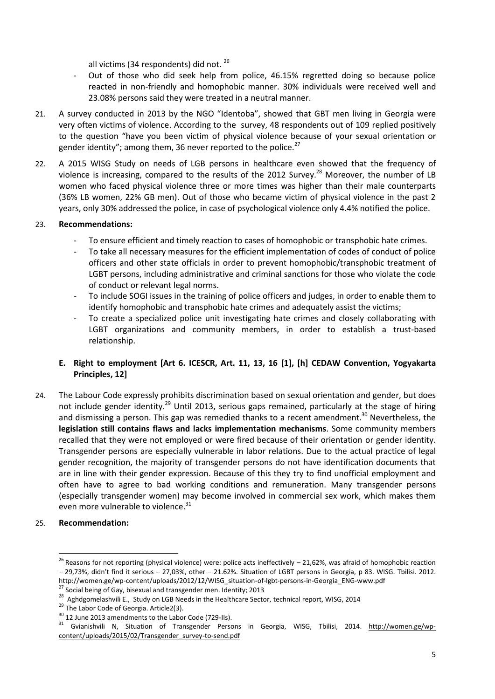all victims (34 respondents) did not. 26

- Out of those who did seek help from police, 46.15% regretted doing so because police reacted in non-friendly and homophobic manner. 30% individuals were received well and 23.08% persons said they were treated in a neutral manner.
- 21. A survey conducted in 2013 by the NGO "Identoba", showed that GBT men living in Georgia were very often victims of violence. According to the survey, 48 respondents out of 109 replied positively to the question "have you been victim of physical violence because of your sexual orientation or gender identity"; among them, 36 never reported to the police.<sup>27</sup>
- 22. A 2015 WISG Study on needs of LGB persons in healthcare even showed that the frequency of violence is increasing, compared to the results of the 2012 Survey.<sup>28</sup> Moreover, the number of LB women who faced physical violence three or more times was higher than their male counterparts (36% LB women, 22% GB men). Out of those who became victim of physical violence in the past 2 years, only 30% addressed the police, in case of psychological violence only 4.4% notified the police.

### 23. **Recommendations:**

- To ensure efficient and timely reaction to cases of homophobic or transphobic hate crimes.
- To take all necessary measures for the efficient implementation of codes of conduct of police officers and other state officials in order to prevent homophobic/transphobic treatment of LGBT persons, including administrative and criminal sanctions for those who violate the code of conduct or relevant legal norms.
- To include SOGI issues in the training of police officers and judges, in order to enable them to identify homophobic and transphobic hate crimes and adequately assist the victims;
- To create a specialized police unit investigating hate crimes and closely collaborating with LGBT organizations and community members, in order to establish a trust-based relationship.

# **E. Right to employment [Art 6. ICESCR, Art. 11, 13, 16 [1], [h] CEDAW Convention, Yogyakarta Principles, 12]**

24. The Labour Code expressly prohibits discrimination based on sexual orientation and gender, but does not include gender identity.<sup>29</sup> Until 2013, serious gaps remained, particularly at the stage of hiring and dismissing a person. This gap was remedied thanks to a recent amendment.<sup>30</sup> Nevertheless, the **legislation still contains flaws and lacks implementation mechanisms**. Some community members recalled that they were not employed or were fired because of their orientation or gender identity. Transgender persons are especially vulnerable in labor relations. Due to the actual practice of legal gender recognition, the majority of transgender persons do not have identification documents that are in line with their gender expression. Because of this they try to find unofficial employment and often have to agree to bad working conditions and remuneration. Many transgender persons (especially transgender women) may become involved in commercial sex work, which makes them even more vulnerable to violence.<sup>31</sup>

# 25. **Recommendation:**

 $^{26}$  Reasons for not reporting (physical violence) were: police acts ineffectively  $-$  21,62%, was afraid of homophobic reaction – 29,73%, didn't find it serious – 27,03%, other – 21.62%. Situation of LGBT persons in Georgia, p 83. WISG. Tbilisi. 2012. http://women.ge/wp-content/uploads/2012/12/WISG\_situation-of-lgbt-persons-in-Georgia\_ENG-www.pdf <sup>27</sup> Social being of Gay, bisexual and transgender men. Identity; 2013

<sup>&</sup>lt;sup>28</sup> Aghdgomelashvili E., Study on LGB Needs in the Healthcare Sector, technical report, WISG, 2014<br><sup>29</sup> The Labor Code of Georgia. Article2(3).

<sup>&</sup>lt;sup>30</sup> 12 June 2013 amendments to the Labor Code (729-IIs).<br><sup>31</sup> Gvianishvili N, Situation of Transgender Persons in Georgia, WISG, Tbilisi, 2014. <u>http://women.ge/wp-</u> content/uploads/2015/02/Transgender\_survey-to-send.pdf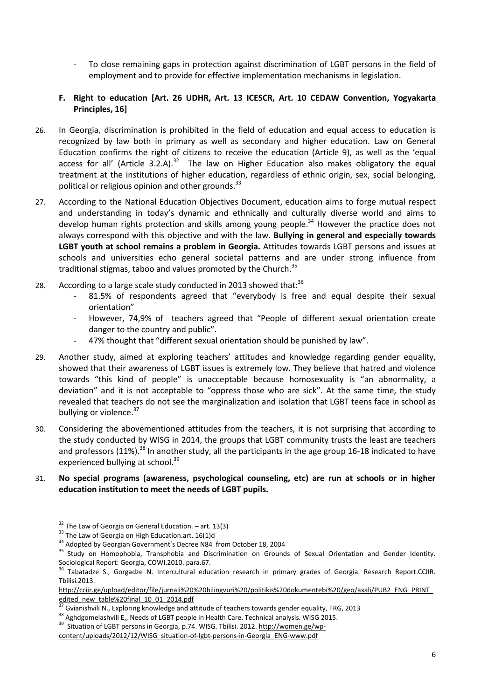To close remaining gaps in protection against discrimination of LGBT persons in the field of employment and to provide for effective implementation mechanisms in legislation.

# **F. Right to education [Art. 26 UDHR, Art. 13 ICESCR, Art. 10 CEDAW Convention, Yogyakarta Principles, 16]**

- 26. In Georgia, discrimination is prohibited in the field of education and equal access to education is recognized by law both in primary as well as secondary and higher education. Law on General Education confirms the right of citizens to receive the education (Article 9), as well as the 'equal access for all' (Article 3.2.A).<sup>32</sup> The law on Higher Education also makes obligatory the equal treatment at the institutions of higher education, regardless of ethnic origin, sex, social belonging, political or religious opinion and other grounds. $33$
- 27. According to the National Education Objectives Document, education aims to forge mutual respect and understanding in today's dynamic and ethnically and culturally diverse world and aims to develop human rights protection and skills among young people.<sup>34</sup> However the practice does not always correspond with this objective and with the law. **Bullying in general and especially towards LGBT youth at school remains a problem in Georgia.** Attitudes towards LGBT persons and issues at schools and universities echo general societal patterns and are under strong influence from traditional stigmas, taboo and values promoted by the Church. $35$
- 28. According to a large scale study conducted in 2013 showed that: $36$ 
	- 81.5% of respondents agreed that "everybody is free and equal despite their sexual orientation"
	- However, 74,9% of teachers agreed that "People of different sexual orientation create danger to the country and public".
	- 47% thought that "different sexual orientation should be punished by law".
- 29. Another study, aimed at exploring teachers' attitudes and knowledge regarding gender equality, showed that their awareness of LGBT issues is extremely low. They believe that hatred and violence towards "this kind of people" is unacceptable because homosexuality is "an abnormality, a deviation" and it is not acceptable to "oppress those who are sick". At the same time, the study revealed that teachers do not see the marginalization and isolation that LGBT teens face in school as bullying or violence.<sup>37</sup>
- 30. Considering the abovementioned attitudes from the teachers, it is not surprising that according to the study conducted by WISG in 2014, the groups that LGBT community trusts the least are teachers and professors (11%).<sup>38</sup> In another study, all the participants in the age group 16-18 indicated to have experienced bullying at school.<sup>39</sup>

### 31. **No special programs (awareness, psychological counseling, etc) are run at schools or in higher education institution to meet the needs of LGBT pupils.**

<sup>&</sup>lt;sup>32</sup> The Law of Georgia on General Education. – art. 13(3)  $33$  The Law of Georgia on High Education.art. 16(1)d

<sup>&</sup>lt;sup>34</sup> Adopted by Georgian Government's Decree N84 from October 18, 2004

<sup>&</sup>lt;sup>35</sup> Study on Homophobia, Transphobia and Discrimination on Grounds of Sexual Orientation and Gender Identity.<br>Sociological Report: Georgia, COWI.2010. para.67.

<sup>&</sup>lt;sup>36</sup> Tabatadze S., Gorgadze N. Intercultural education research in primary grades of Georgia. Research Report.CCIIR. Tbilisi.2013.

http://cciir.ge/upload/editor/file/jurnali%20%20bilingvuri%20/politikis%20dokumentebi%20/geo/axali/PUB2\_ENG\_PRINT\_ edited\_new\_table%20final\_10\_01\_2014.pdf<br><sup>37</sup> Gvianishvili N., Exploring knowledge and attitude of teachers towards gender equality, TRG, 2013

<sup>38</sup> Aghdgomelashvili E,, Needs of LGBT people in Health Care. Technical analysis. WISG 2015.<br><sup>39</sup> Situation of LGBT persons in Georgia, p.74. WISG. Tbilisi. 2012. http://women.ge/wp-

content/uploads/2012/12/WISG\_situation-of-lgbt-persons-in-Georgia\_ENG-www.pdf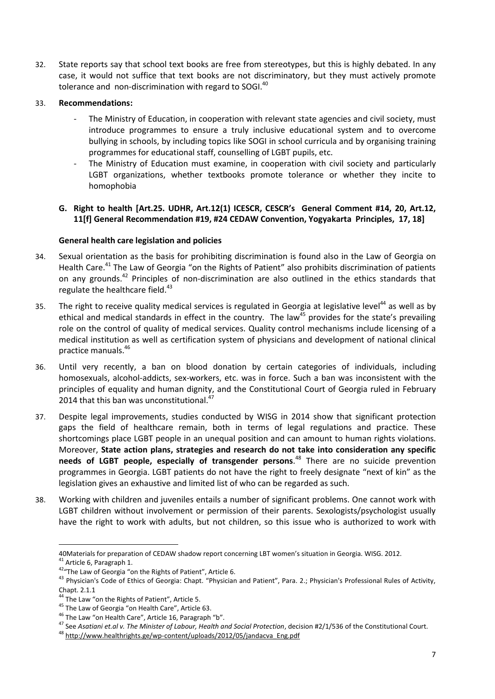32. State reports say that school text books are free from stereotypes, but this is highly debated. In any case, it would not suffice that text books are not discriminatory, but they must actively promote tolerance and non-discrimination with regard to SOGI.<sup>40</sup>

### 33. **Recommendations:**

- The Ministry of Education, in cooperation with relevant state agencies and civil society, must introduce programmes to ensure a truly inclusive educational system and to overcome bullying in schools, by including topics like SOGI in school curricula and by organising training programmes for educational staff, counselling of LGBT pupils, etc.
- The Ministry of Education must examine, in cooperation with civil society and particularly LGBT organizations, whether textbooks promote tolerance or whether they incite to homophobia

## **G. Right to health [Art.25. UDHR, Art.12(1) ICESCR, CESCR's General Comment #14, 20, Art.12, 11[f] General Recommendation #19, #24 CEDAW Convention, Yogyakarta Principles, 17, 18]**

### **General health care legislation and policies**

- 34. Sexual orientation as the basis for prohibiting discrimination is found also in the Law of Georgia on Health Care.<sup>41</sup> The Law of Georgia "on the Rights of Patient" also prohibits discrimination of patients on any grounds.<sup>42</sup> Principles of non-discrimination are also outlined in the ethics standards that regulate the healthcare field.<sup>43</sup>
- 35. The right to receive quality medical services is regulated in Georgia at legislative level<sup>44</sup> as well as by ethical and medical standards in effect in the country. The law<sup>45</sup> provides for the state's prevailing role on the control of quality of medical services. Quality control mechanisms include licensing of a medical institution as well as certification system of physicians and development of national clinical practice manuals.<sup>46</sup>
- 36. Until very recently, a ban on blood donation by certain categories of individuals, including homosexuals, alcohol-addicts, sex-workers, etc. was in force. Such a ban was inconsistent with the principles of equality and human dignity, and the Constitutional Court of Georgia ruled in February 2014 that this ban was unconstitutional.<sup>47</sup>
- 37. Despite legal improvements, studies conducted by WISG in 2014 show that significant protection gaps the field of healthcare remain, both in terms of legal regulations and practice. These shortcomings place LGBT people in an unequal position and can amount to human rights violations. Moreover, **State action plans, strategies and research do not take into consideration any specific needs of LGBT people, especially of transgender persons**.<sup>48</sup> There are no suicide prevention programmes in Georgia. LGBT patients do not have the right to freely designate "next of kin" as the legislation gives an exhaustive and limited list of who can be regarded as such.
- 38. Working with children and juveniles entails a number of significant problems. One cannot work with LGBT children without involvement or permission of their parents. Sexologists/psychologist usually have the right to work with adults, but not children, so this issue who is authorized to work with

<sup>40</sup>Materials for preparation of CEDAW shadow report concerning LBT women's situation in Georgia. WISG. 2012.<br><sup>41</sup> Article 6, Paragraph 1.<br><sup>42</sup> The Law of Georgia "on the Rights of Patient", Article 6.<br><sup>43</sup> Physician's Code Chapt. 2.1.1

<sup>&</sup>lt;sup>44</sup> The Law "on the Rights of Patient", Article 5.<br><sup>45</sup> The Law of Georgia "on Health Care", Article 63.<br><sup>46</sup> The Law "on Health Care", Article 16, Paragraph "b".<br><sup>47</sup> See Asatiani et.al v. The Minister of Labour, Health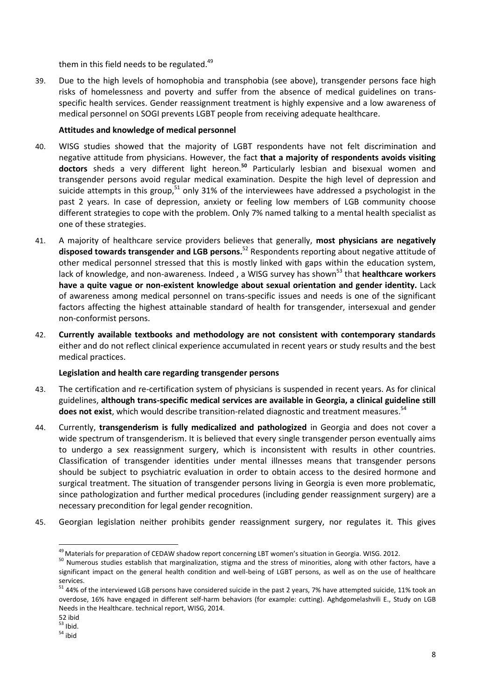them in this field needs to be regulated.<sup>49</sup>

39. Due to the high levels of homophobia and transphobia (see above), transgender persons face high risks of homelessness and poverty and suffer from the absence of medical guidelines on trans specific health services. Gender reassignment treatment is highly expensive and a low awareness of medical personnel on SOGI prevents LGBT people from receiving adequate healthcare.

## **Attitudes and knowledge of medical personnel**

- 40. WISG studies showed that the majority of LGBT respondents have not felt discrimination and negative attitude from physicians. However, the fact **that a majority of respondents avoids visiting doctors** sheds a very different light hereon.**<sup>50</sup>** Particularly lesbian and bisexual women and transgender persons avoid regular medical examination. Despite the high level of depression and suicide attempts in this group,<sup>51</sup> only 31% of the interviewees have addressed a psychologist in the past 2 years. In case of depression, anxiety or feeling low members of LGB community choose different strategies to cope with the problem. Only 7% named talking to a mental health specialist as one of these strategies.
- 41. A majority of healthcare service providers believes that generally, **most physicians are negatively disposed towards transgender and LGB persons.**<sup>52</sup> Respondents reporting about negative attitude of other medical personnel stressed that this is mostly linked with gaps within the education system, lack of knowledge, and non-awareness. Indeed, a WISG survey has shown<sup>53</sup> that **healthcare workers have a quite vague or non-existent knowledge about sexual orientation and gender identity.** Lack of awareness among medical personnel on trans-specific issues and needs is one of the significant factors affecting the highest attainable standard of health for transgender, intersexual and gender non-conformist persons.
- 42. **Currently available textbooks and methodology are not consistent with contemporary standards** either and do not reflect clinical experience accumulated in recent years or study results and the best medical practices.

# **Legislation and health care regarding transgender persons**

- 43. The certification and re-certification system of physicians is suspended in recent years. As for clinical guidelines, **although trans-specific medical services are available in Georgia, a clinical guideline still** does not exist, which would describe transition-related diagnostic and treatment measures.<sup>54</sup>
- 44. Currently, **transgenderism is fully medicalized and pathologized** in Georgia and does not cover a wide spectrum of transgenderism. It is believed that every single transgender person eventually aims to undergo a sex reassignment surgery, which is inconsistent with results in other countries. Classification of transgender identities under mental illnesses means that transgender persons should be subject to psychiatric evaluation in order to obtain access to the desired hormone and surgical treatment. The situation of transgender persons living in Georgia is even more problematic, since pathologization and further medical procedures (including gender reassignment surgery) are a necessary precondition for legal gender recognition.
- 45. Georgian legislation neither prohibits gender reassignment surgery, nor regulates it. This gives

 $^{49}$  Materials for preparation of CEDAW shadow report concerning LBT women's situation in Georgia. WISG. 2012.<br><sup>50</sup> Numerous studies establish that marginalization, stigma and the stress of minorities, along with other significant impact on the general health condition and well-being of LGBT persons, as well as on the use of healthcare services.<br><sup>51</sup> 44% of the interviewed LGB persons have considered suicide in the past 2 years, 7% have attempted suicide, 11% took an

overdose, 16% have engaged in different self-harm behaviors (for example: cutting). Aghdgomelashvili E., Study on LGB Needs in the Healthcare. technical report, WISG, 2014.

<sup>52</sup> ibid.<br> $53$  lbid.

 $54$ ibid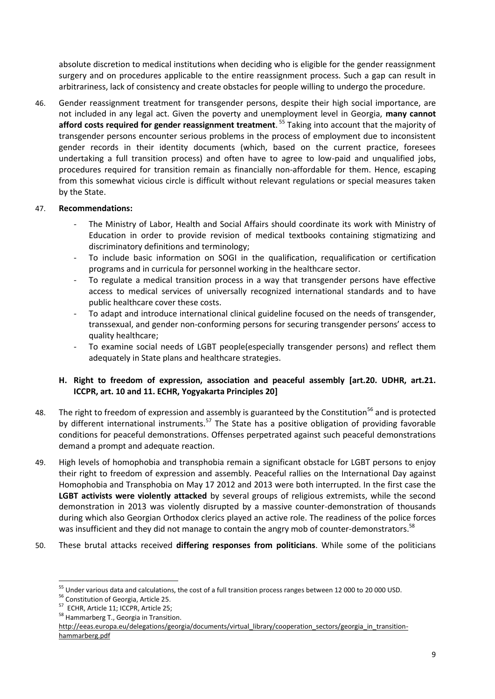absolute discretion to medical institutions when deciding who is eligible for the gender reassignment surgery and on procedures applicable to the entire reassignment process. Such a gap can result in arbitrariness, lack of consistency and create obstacles for people willing to undergo the procedure.

46. Gender reassignment treatment for transgender persons, despite their high social importance, are not included in any legal act. Given the poverty and unemployment level in Georgia, **many cannot afford costs required for gender reassignment treatment**. <sup>55</sup> Taking into account that the majority of transgender persons encounter serious problems in the process of employment due to inconsistent gender records in their identity documents (which, based on the current practice, foresees undertaking a full transition process) and often have to agree to low-paid and unqualified jobs, procedures required for transition remain as financially non-affordable for them. Hence, escaping from this somewhat vicious circle is difficult without relevant regulations or special measures taken by the State.

### 47. **Recommendations:**

- The Ministry of Labor, Health and Social Affairs should coordinate its work with Ministry of Education in order to provide revision of medical textbooks containing stigmatizing and discriminatory definitions and terminology;
- To include basic information on SOGI in the qualification, requalification or certification programs and in curricula for personnel working in the healthcare sector.
- To regulate a medical transition process in a way that transgender persons have effective access to medical services of universally recognized international standards and to have public healthcare cover these costs.
- To adapt and introduce international clinical guideline focused on the needs of transgender, transsexual, and gender non-conforming persons for securing transgender persons' access to quality healthcare;
- To examine social needs of LGBT people(especially transgender persons) and reflect them adequately in State plans and healthcare strategies.

# **H. Right to freedom of expression, association and peaceful assembly [art.20. UDHR, art.21. ICCPR, art. 10 and 11. ECHR, Yogyakarta Principles 20]**

- 48. The right to freedom of expression and assembly is guaranteed by the Constitution<sup>56</sup> and is protected by different international instruments.<sup>57</sup> The State has a positive obligation of providing favorable conditions for peaceful demonstrations. Offenses perpetrated against such peaceful demonstrations demand a prompt and adequate reaction.
- 49. High levels of homophobia and transphobia remain a significant obstacle for LGBT persons to enjoy their right to freedom of expression and assembly. Peaceful rallies on the International Day against Homophobia and Transphobia on May 17 2012 and 2013 were both interrupted. In the first case the **LGBT activists were violently attacked** by several groups of religious extremists, while the second demonstration in 2013 was violently disrupted by a massive counter-demonstration of thousands during which also Georgian Orthodox clerics played an active role. The readiness of the police forces was insufficient and they did not manage to contain the angry mob of counter-demonstrators.<sup>58</sup>
- 50. These brutal attacks received **differing responses from politicians**. While some of the politicians

<sup>&</sup>lt;sup>55</sup> Under various data and calculations, the cost of a full transition process ranges between 12 000 to 20 000 USD.<br><sup>56</sup> Constitution of Georgia, Article 25.<br><sup>57</sup> ECHR, Article 11; ICCPR, Article 25;<br><sup>58</sup> Hammarberg T.,

http://eeas.europa.eu/delegations/georgia/documents/virtual\_library/cooperation\_sectors/georgia\_in\_transition hammarberg.pdf